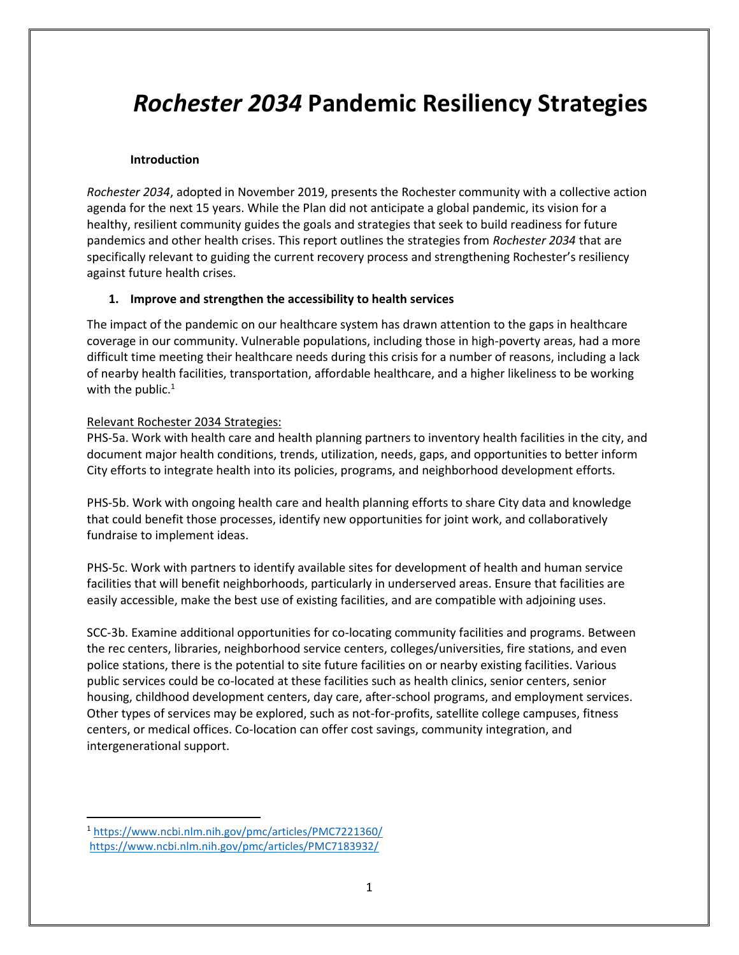# *Rochester 2034* **Pandemic Resiliency Strategies**

## **Introduction**

*Rochester 2034*, adopted in November 2019, presents the Rochester community with a collective action agenda for the next 15 years. While the Plan did not anticipate a global pandemic, its vision for a healthy, resilient community guides the goals and strategies that seek to build readiness for future pandemics and other health crises. This report outlines the strategies from *Rochester 2034* that are specifically relevant to guiding the current recovery process and strengthening Rochester's resiliency against future health crises.

## **1. Improve and strengthen the accessibility to health services**

The impact of the pandemic on our healthcare system has drawn attention to the gaps in healthcare coverage in our community. Vulnerable populations, including those in high-poverty areas, had a more difficult time meeting their healthcare needs during this crisis for a number of reasons, including a lack of nearby health facilities, transportation, affordable healthcare, and a higher likeliness to be working with the public. $1$ 

## Relevant Rochester 2034 Strategies:

PHS-5a. Work with health care and health planning partners to inventory health facilities in the city, and document major health conditions, trends, utilization, needs, gaps, and opportunities to better inform City efforts to integrate health into its policies, programs, and neighborhood development efforts.

PHS-5b. Work with ongoing health care and health planning efforts to share City data and knowledge that could benefit those processes, identify new opportunities for joint work, and collaboratively fundraise to implement ideas.

PHS-5c. Work with partners to identify available sites for development of health and human service facilities that will benefit neighborhoods, particularly in underserved areas. Ensure that facilities are easily accessible, make the best use of existing facilities, and are compatible with adjoining uses.

SCC-3b. Examine additional opportunities for co-locating community facilities and programs. Between the rec centers, libraries, neighborhood service centers, colleges/universities, fire stations, and even police stations, there is the potential to site future facilities on or nearby existing facilities. Various public services could be co-located at these facilities such as health clinics, senior centers, senior housing, childhood development centers, day care, after-school programs, and employment services. Other types of services may be explored, such as not-for-profits, satellite college campuses, fitness centers, or medical offices. Co-location can offer cost savings, community integration, and intergenerational support.

 $\overline{\phantom{a}}$ 

<sup>1</sup> <https://www.ncbi.nlm.nih.gov/pmc/articles/PMC7221360/> <https://www.ncbi.nlm.nih.gov/pmc/articles/PMC7183932/>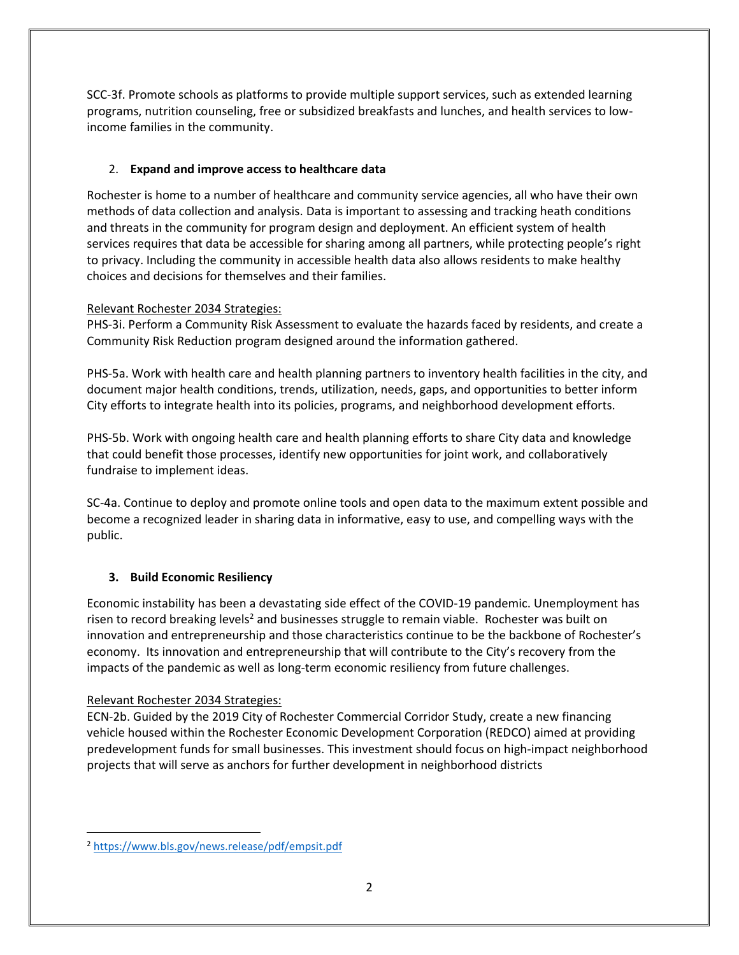SCC-3f. Promote schools as platforms to provide multiple support services, such as extended learning programs, nutrition counseling, free or subsidized breakfasts and lunches, and health services to lowincome families in the community.

## 2. **Expand and improve access to healthcare data**

Rochester is home to a number of healthcare and community service agencies, all who have their own methods of data collection and analysis. Data is important to assessing and tracking heath conditions and threats in the community for program design and deployment. An efficient system of health services requires that data be accessible for sharing among all partners, while protecting people's right to privacy. Including the community in accessible health data also allows residents to make healthy choices and decisions for themselves and their families.

## Relevant Rochester 2034 Strategies:

PHS-3i. Perform a Community Risk Assessment to evaluate the hazards faced by residents, and create a Community Risk Reduction program designed around the information gathered.

PHS-5a. Work with health care and health planning partners to inventory health facilities in the city, and document major health conditions, trends, utilization, needs, gaps, and opportunities to better inform City efforts to integrate health into its policies, programs, and neighborhood development efforts.

PHS-5b. Work with ongoing health care and health planning efforts to share City data and knowledge that could benefit those processes, identify new opportunities for joint work, and collaboratively fundraise to implement ideas.

SC-4a. Continue to deploy and promote online tools and open data to the maximum extent possible and become a recognized leader in sharing data in informative, easy to use, and compelling ways with the public.

# **3. Build Economic Resiliency**

Economic instability has been a devastating side effect of the COVID-19 pandemic. Unemployment has risen to record breaking levels<sup>2</sup> and businesses struggle to remain viable. Rochester was built on innovation and entrepreneurship and those characteristics continue to be the backbone of Rochester's economy. Its innovation and entrepreneurship that will contribute to the City's recovery from the impacts of the pandemic as well as long-term economic resiliency from future challenges.

# Relevant Rochester 2034 Strategies:

ECN-2b. Guided by the 2019 City of Rochester Commercial Corridor Study, create a new financing vehicle housed within the Rochester Economic Development Corporation (REDCO) aimed at providing predevelopment funds for small businesses. This investment should focus on high-impact neighborhood projects that will serve as anchors for further development in neighborhood districts

l <sup>2</sup> <https://www.bls.gov/news.release/pdf/empsit.pdf>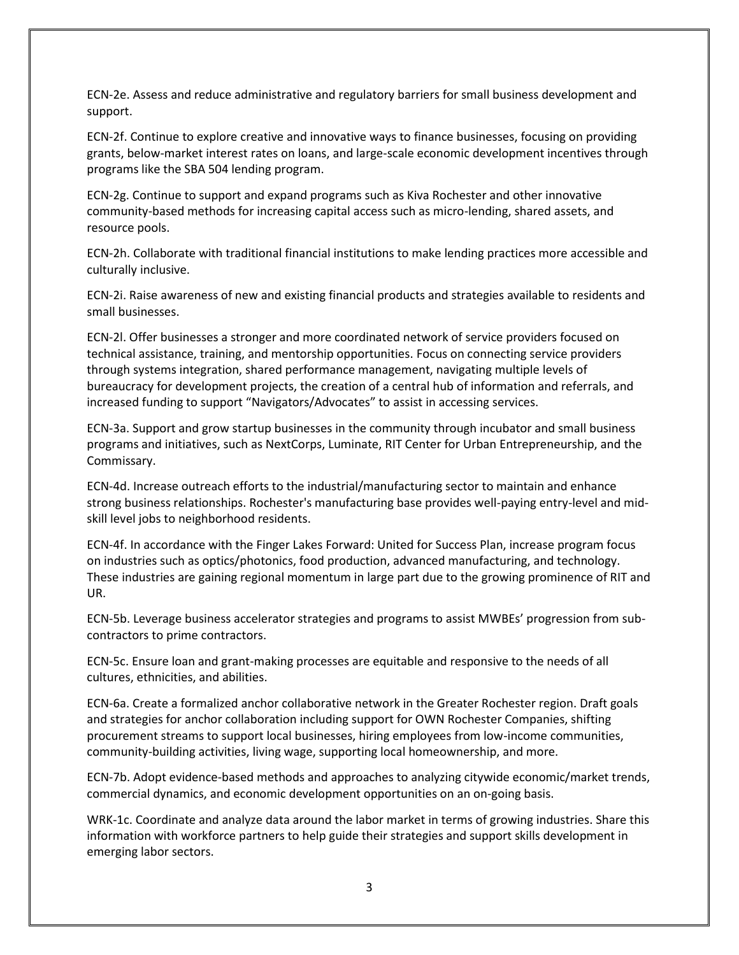ECN-2e. Assess and reduce administrative and regulatory barriers for small business development and support.

ECN-2f. Continue to explore creative and innovative ways to finance businesses, focusing on providing grants, below-market interest rates on loans, and large-scale economic development incentives through programs like the SBA 504 lending program.

ECN-2g. Continue to support and expand programs such as Kiva Rochester and other innovative community-based methods for increasing capital access such as micro-lending, shared assets, and resource pools.

ECN-2h. Collaborate with traditional financial institutions to make lending practices more accessible and culturally inclusive.

ECN-2i. Raise awareness of new and existing financial products and strategies available to residents and small businesses.

ECN-2l. Offer businesses a stronger and more coordinated network of service providers focused on technical assistance, training, and mentorship opportunities. Focus on connecting service providers through systems integration, shared performance management, navigating multiple levels of bureaucracy for development projects, the creation of a central hub of information and referrals, and increased funding to support "Navigators/Advocates" to assist in accessing services.

ECN-3a. Support and grow startup businesses in the community through incubator and small business programs and initiatives, such as NextCorps, Luminate, RIT Center for Urban Entrepreneurship, and the Commissary.

ECN-4d. Increase outreach efforts to the industrial/manufacturing sector to maintain and enhance strong business relationships. Rochester's manufacturing base provides well-paying entry-level and midskill level jobs to neighborhood residents.

ECN-4f. In accordance with the Finger Lakes Forward: United for Success Plan, increase program focus on industries such as optics/photonics, food production, advanced manufacturing, and technology. These industries are gaining regional momentum in large part due to the growing prominence of RIT and UR.

ECN-5b. Leverage business accelerator strategies and programs to assist MWBEs' progression from subcontractors to prime contractors.

ECN-5c. Ensure loan and grant-making processes are equitable and responsive to the needs of all cultures, ethnicities, and abilities.

ECN-6a. Create a formalized anchor collaborative network in the Greater Rochester region. Draft goals and strategies for anchor collaboration including support for OWN Rochester Companies, shifting procurement streams to support local businesses, hiring employees from low-income communities, community-building activities, living wage, supporting local homeownership, and more.

ECN-7b. Adopt evidence-based methods and approaches to analyzing citywide economic/market trends, commercial dynamics, and economic development opportunities on an on-going basis.

WRK-1c. Coordinate and analyze data around the labor market in terms of growing industries. Share this information with workforce partners to help guide their strategies and support skills development in emerging labor sectors.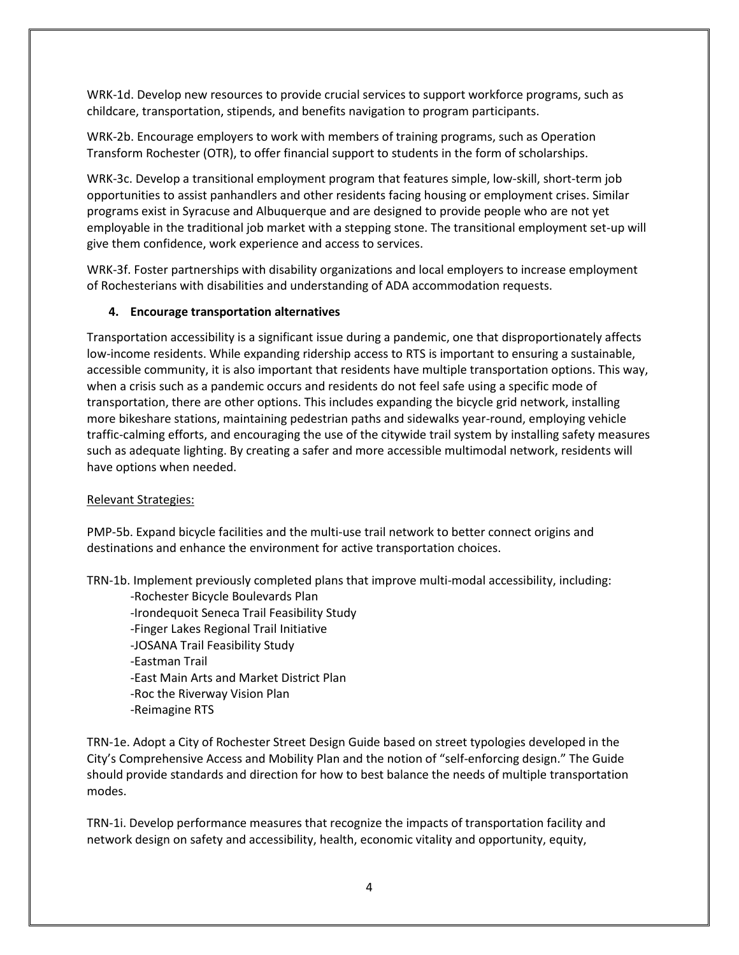WRK-1d. Develop new resources to provide crucial services to support workforce programs, such as childcare, transportation, stipends, and benefits navigation to program participants.

WRK-2b. Encourage employers to work with members of training programs, such as Operation Transform Rochester (OTR), to offer financial support to students in the form of scholarships.

WRK-3c. Develop a transitional employment program that features simple, low-skill, short-term job opportunities to assist panhandlers and other residents facing housing or employment crises. Similar programs exist in Syracuse and Albuquerque and are designed to provide people who are not yet employable in the traditional job market with a stepping stone. The transitional employment set-up will give them confidence, work experience and access to services.

WRK-3f. Foster partnerships with disability organizations and local employers to increase employment of Rochesterians with disabilities and understanding of ADA accommodation requests.

## **4. Encourage transportation alternatives**

Transportation accessibility is a significant issue during a pandemic, one that disproportionately affects low-income residents. While expanding ridership access to RTS is important to ensuring a sustainable, accessible community, it is also important that residents have multiple transportation options. This way, when a crisis such as a pandemic occurs and residents do not feel safe using a specific mode of transportation, there are other options. This includes expanding the bicycle grid network, installing more bikeshare stations, maintaining pedestrian paths and sidewalks year-round, employing vehicle traffic-calming efforts, and encouraging the use of the citywide trail system by installing safety measures such as adequate lighting. By creating a safer and more accessible multimodal network, residents will have options when needed.

#### Relevant Strategies:

PMP-5b. Expand bicycle facilities and the multi-use trail network to better connect origins and destinations and enhance the environment for active transportation choices.

TRN-1b. Implement previously completed plans that improve multi-modal accessibility, including:

-Rochester Bicycle Boulevards Plan -Irondequoit Seneca Trail Feasibility Study -Finger Lakes Regional Trail Initiative -JOSANA Trail Feasibility Study -Eastman Trail -East Main Arts and Market District Plan -Roc the Riverway Vision Plan -Reimagine RTS

TRN-1e. Adopt a City of Rochester Street Design Guide based on street typologies developed in the City's Comprehensive Access and Mobility Plan and the notion of "self-enforcing design." The Guide should provide standards and direction for how to best balance the needs of multiple transportation modes.

TRN-1i. Develop performance measures that recognize the impacts of transportation facility and network design on safety and accessibility, health, economic vitality and opportunity, equity,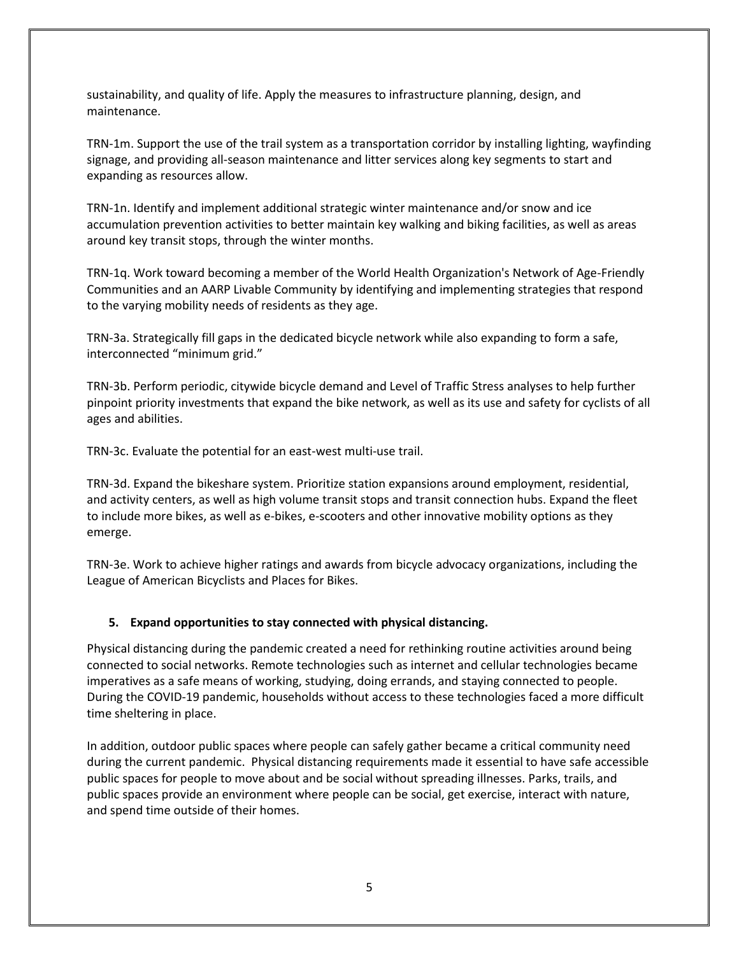sustainability, and quality of life. Apply the measures to infrastructure planning, design, and maintenance.

TRN-1m. Support the use of the trail system as a transportation corridor by installing lighting, wayfinding signage, and providing all-season maintenance and litter services along key segments to start and expanding as resources allow.

TRN-1n. Identify and implement additional strategic winter maintenance and/or snow and ice accumulation prevention activities to better maintain key walking and biking facilities, as well as areas around key transit stops, through the winter months.

TRN-1q. Work toward becoming a member of the World Health Organization's Network of Age-Friendly Communities and an AARP Livable Community by identifying and implementing strategies that respond to the varying mobility needs of residents as they age.

TRN-3a. Strategically fill gaps in the dedicated bicycle network while also expanding to form a safe, interconnected "minimum grid."

TRN-3b. Perform periodic, citywide bicycle demand and Level of Traffic Stress analyses to help further pinpoint priority investments that expand the bike network, as well as its use and safety for cyclists of all ages and abilities.

TRN-3c. Evaluate the potential for an east-west multi-use trail.

TRN-3d. Expand the bikeshare system. Prioritize station expansions around employment, residential, and activity centers, as well as high volume transit stops and transit connection hubs. Expand the fleet to include more bikes, as well as e-bikes, e-scooters and other innovative mobility options as they emerge.

TRN-3e. Work to achieve higher ratings and awards from bicycle advocacy organizations, including the League of American Bicyclists and Places for Bikes.

## **5. Expand opportunities to stay connected with physical distancing.**

Physical distancing during the pandemic created a need for rethinking routine activities around being connected to social networks. Remote technologies such as internet and cellular technologies became imperatives as a safe means of working, studying, doing errands, and staying connected to people. During the COVID-19 pandemic, households without access to these technologies faced a more difficult time sheltering in place.

In addition, outdoor public spaces where people can safely gather became a critical community need during the current pandemic. Physical distancing requirements made it essential to have safe accessible public spaces for people to move about and be social without spreading illnesses. Parks, trails, and public spaces provide an environment where people can be social, get exercise, interact with nature, and spend time outside of their homes.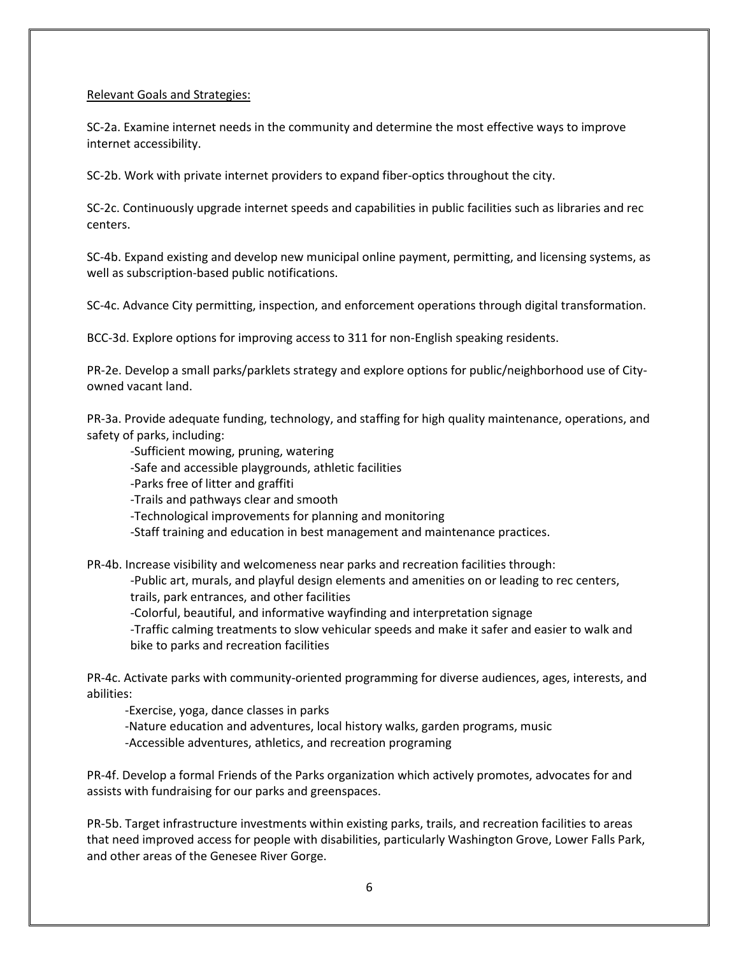## Relevant Goals and Strategies:

SC-2a. Examine internet needs in the community and determine the most effective ways to improve internet accessibility.

SC-2b. Work with private internet providers to expand fiber-optics throughout the city.

SC-2c. Continuously upgrade internet speeds and capabilities in public facilities such as libraries and rec centers.

SC-4b. Expand existing and develop new municipal online payment, permitting, and licensing systems, as well as subscription-based public notifications.

SC-4c. Advance City permitting, inspection, and enforcement operations through digital transformation.

BCC-3d. Explore options for improving access to 311 for non-English speaking residents.

PR-2e. Develop a small parks/parklets strategy and explore options for public/neighborhood use of Cityowned vacant land.

PR-3a. Provide adequate funding, technology, and staffing for high quality maintenance, operations, and safety of parks, including:

-Sufficient mowing, pruning, watering

-Safe and accessible playgrounds, athletic facilities

-Parks free of litter and graffiti

-Trails and pathways clear and smooth

-Technological improvements for planning and monitoring

-Staff training and education in best management and maintenance practices.

PR-4b. Increase visibility and welcomeness near parks and recreation facilities through:

-Public art, murals, and playful design elements and amenities on or leading to rec centers, trails, park entrances, and other facilities

-Colorful, beautiful, and informative wayfinding and interpretation signage

-Traffic calming treatments to slow vehicular speeds and make it safer and easier to walk and bike to parks and recreation facilities

PR-4c. Activate parks with community-oriented programming for diverse audiences, ages, interests, and abilities:

-Exercise, yoga, dance classes in parks -Nature education and adventures, local history walks, garden programs, music -Accessible adventures, athletics, and recreation programing

PR-4f. Develop a formal Friends of the Parks organization which actively promotes, advocates for and assists with fundraising for our parks and greenspaces.

PR-5b. Target infrastructure investments within existing parks, trails, and recreation facilities to areas that need improved access for people with disabilities, particularly Washington Grove, Lower Falls Park, and other areas of the Genesee River Gorge.